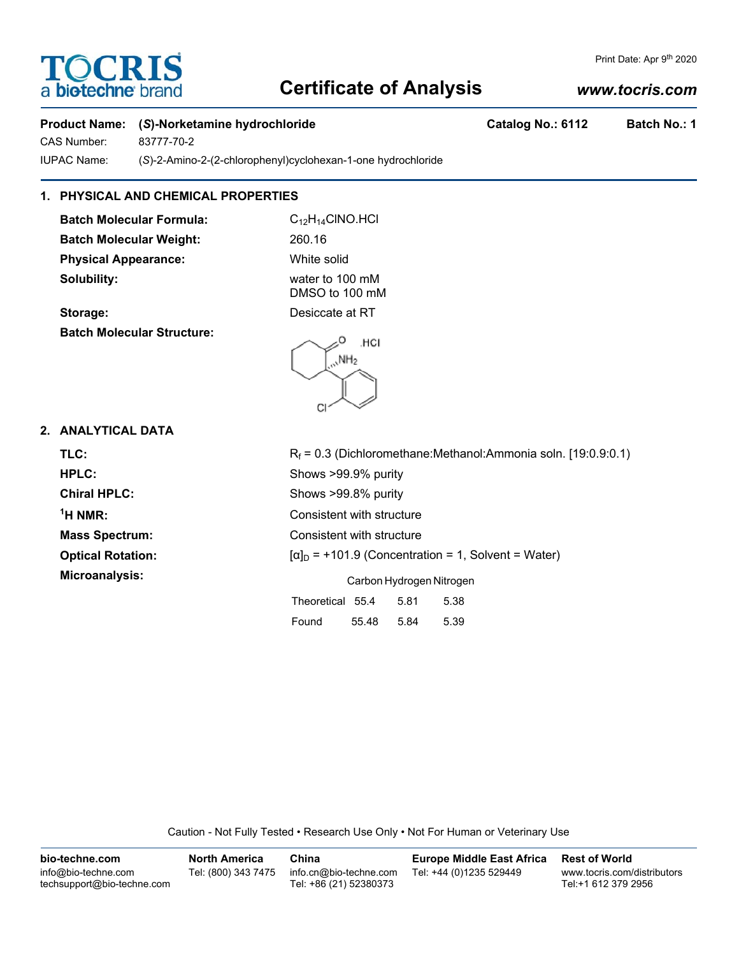# **TOCRIS** a **biotechne** br

#### Print Date: Apr 9th 2020

## **Certificate of Analysis**

### *www.tocris.com*

### Product Name: (S)-Norketamine hydrochloride **Catalog No.: 6112** Batch No.: 1

CAS Number: 83777-70-2 IUPAC Name: (*S*)-2-Amino-2-(2-chlorophenyl)cyclohexan-1-one hydrochloride

## **1. PHYSICAL AND CHEMICAL PROPERTIES**

**Batch Molecular Formula:** C<sub>12</sub>H<sub>14</sub>ClNO.HCl Batch Molecular Weight: 260.16 **Physical Appearance:** White solid **Solubility:** water to 100 mM

DMSO to 100 mM **Storage:** Desiccate at RT

**Batch Molecular Structure:**



### **2. ANALYTICAL DATA**

| TLC:                     | $R_f$ = 0.3 (Dichloromethane:Methanol:Ammonia soln. [19:0.9:0.1] |  |  |  |  |
|--------------------------|------------------------------------------------------------------|--|--|--|--|
| HPLC:                    | Shows >99.9% purity                                              |  |  |  |  |
| <b>Chiral HPLC:</b>      | Shows >99.8% purity                                              |  |  |  |  |
| $1H NMR$ :               | Consistent with structure                                        |  |  |  |  |
| <b>Mass Spectrum:</b>    | Consistent with structure                                        |  |  |  |  |
| <b>Optical Rotation:</b> | $[\alpha]_D$ = +101.9 (Concentration = 1, Solvent = Water)       |  |  |  |  |
| Microanalysis:           | Carbon Hydrogen Nitrogen                                         |  |  |  |  |
|                          | Theoretical 55.4<br>5.81<br>5.38                                 |  |  |  |  |
|                          |                                                                  |  |  |  |  |

Caution - Not Fully Tested • Research Use Only • Not For Human or Veterinary Use

Found 55.48 5.84 5.39

| bio-techne.com                                    | <b>North America</b> | China                                            | <b>Europe Middle East Africa</b> | <b>Rest of World</b>                               |
|---------------------------------------------------|----------------------|--------------------------------------------------|----------------------------------|----------------------------------------------------|
| info@bio-techne.com<br>techsupport@bio-techne.com | Tel: (800) 343 7475  | info.cn@bio-techne.com<br>Tel: +86 (21) 52380373 | Tel: +44 (0)1235 529449          | www.tocris.com/distributors<br>Tel:+1 612 379 2956 |